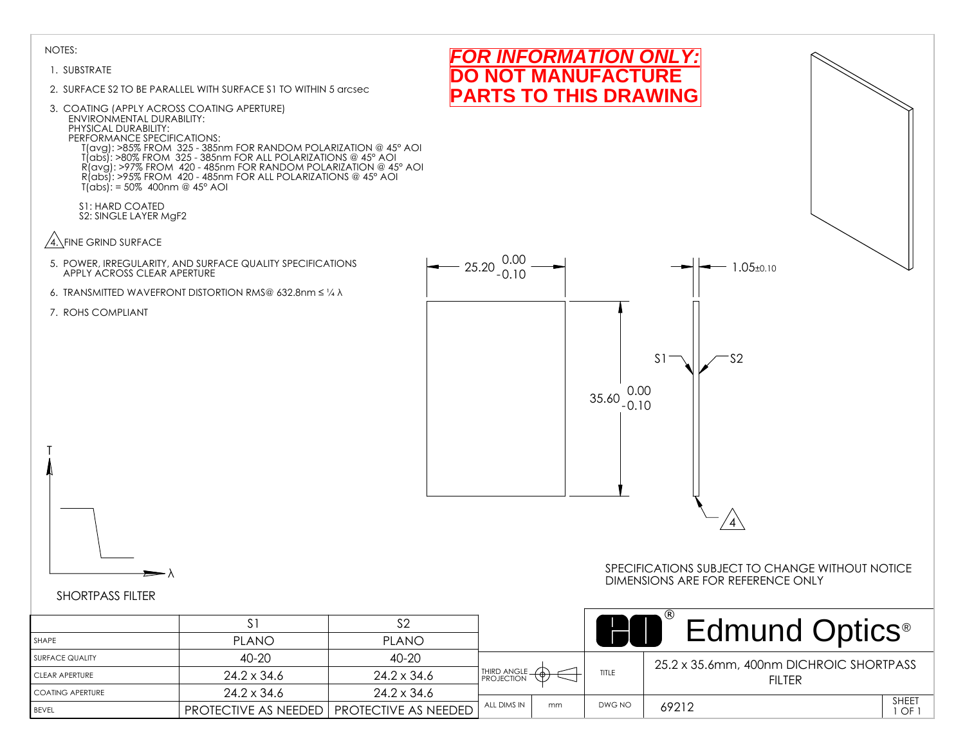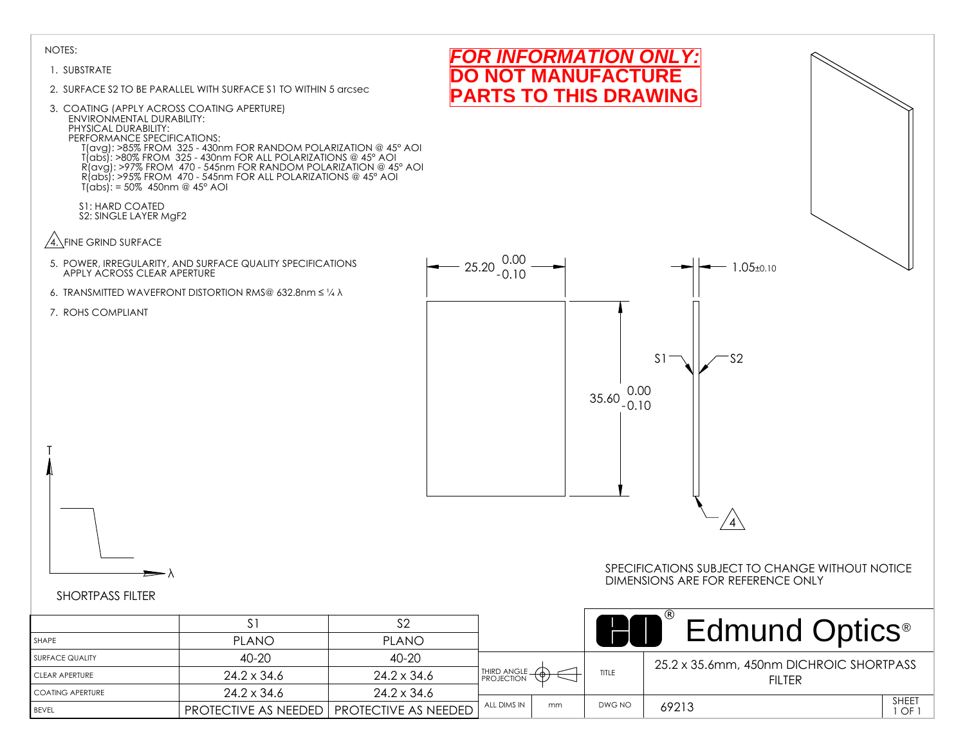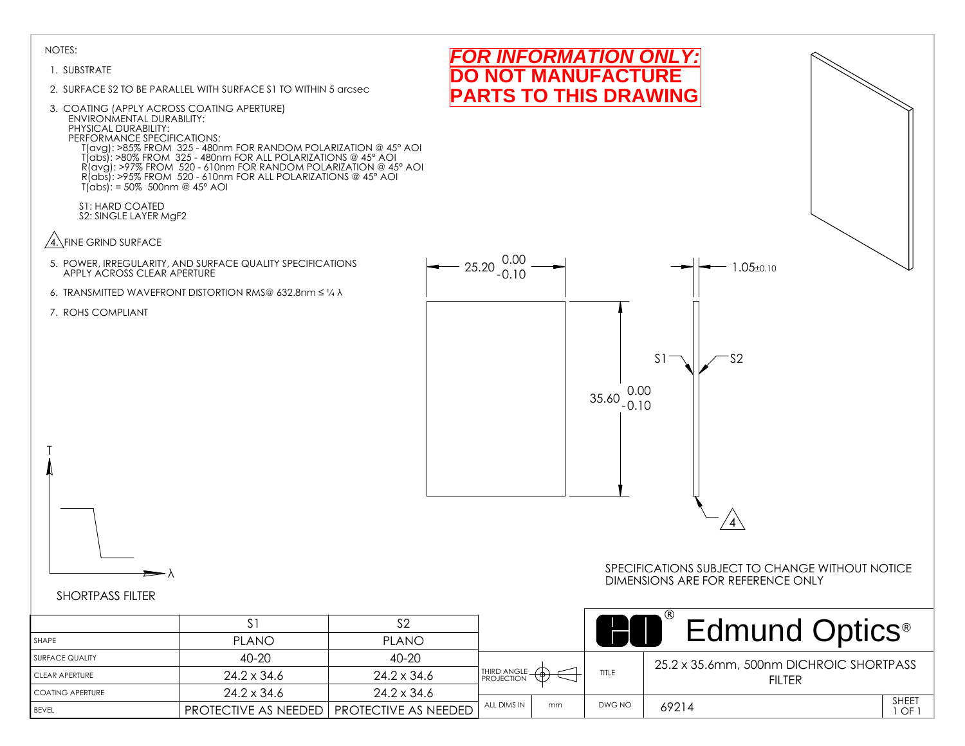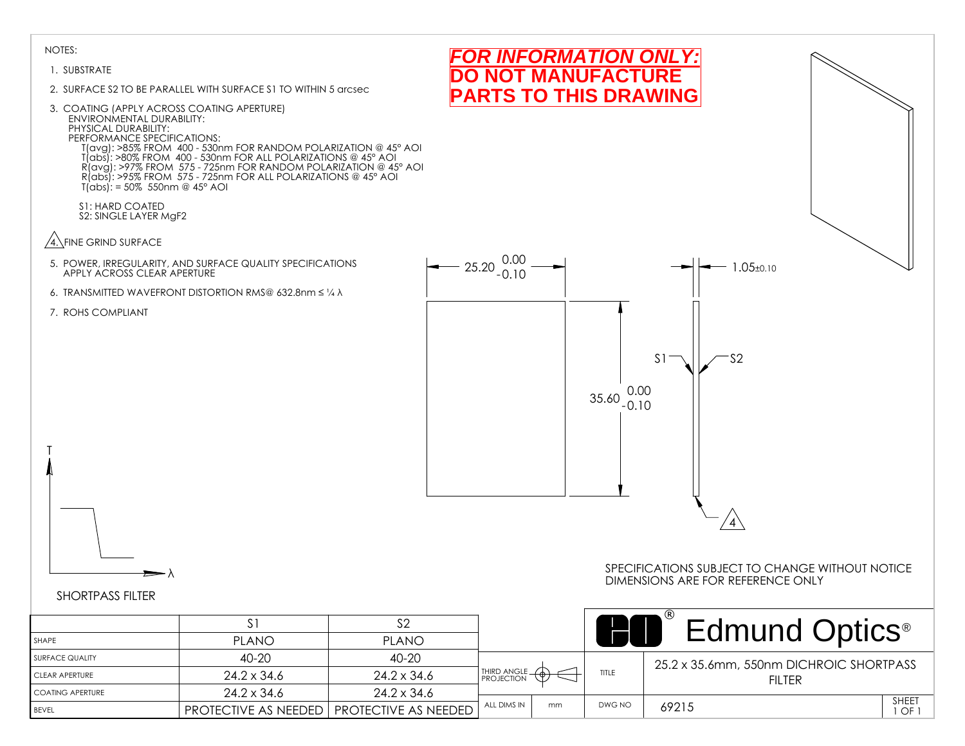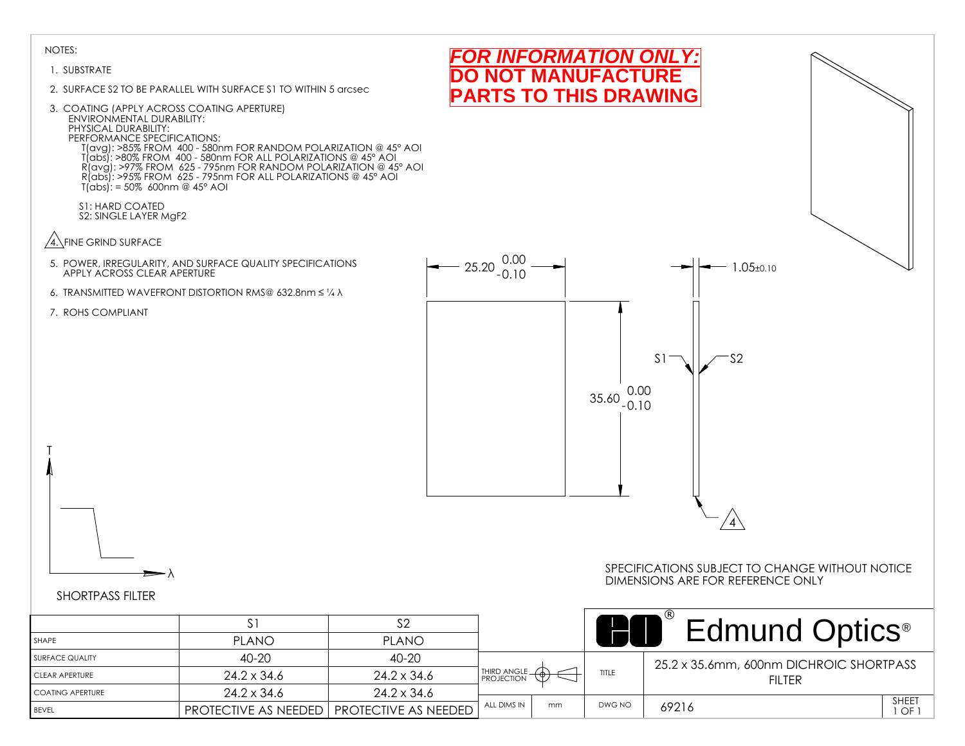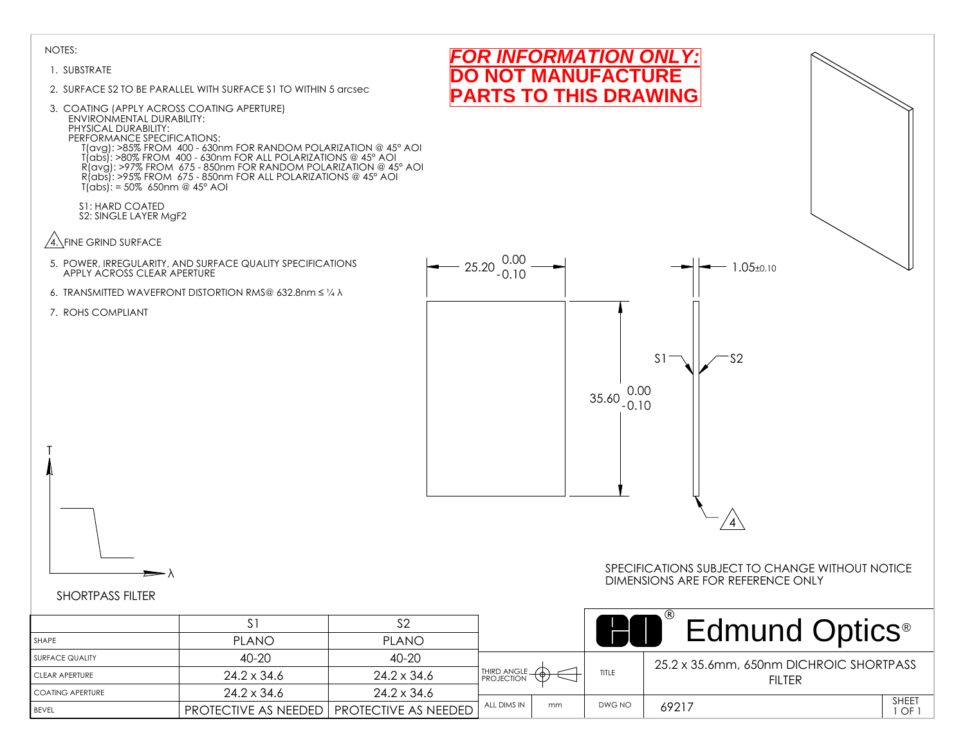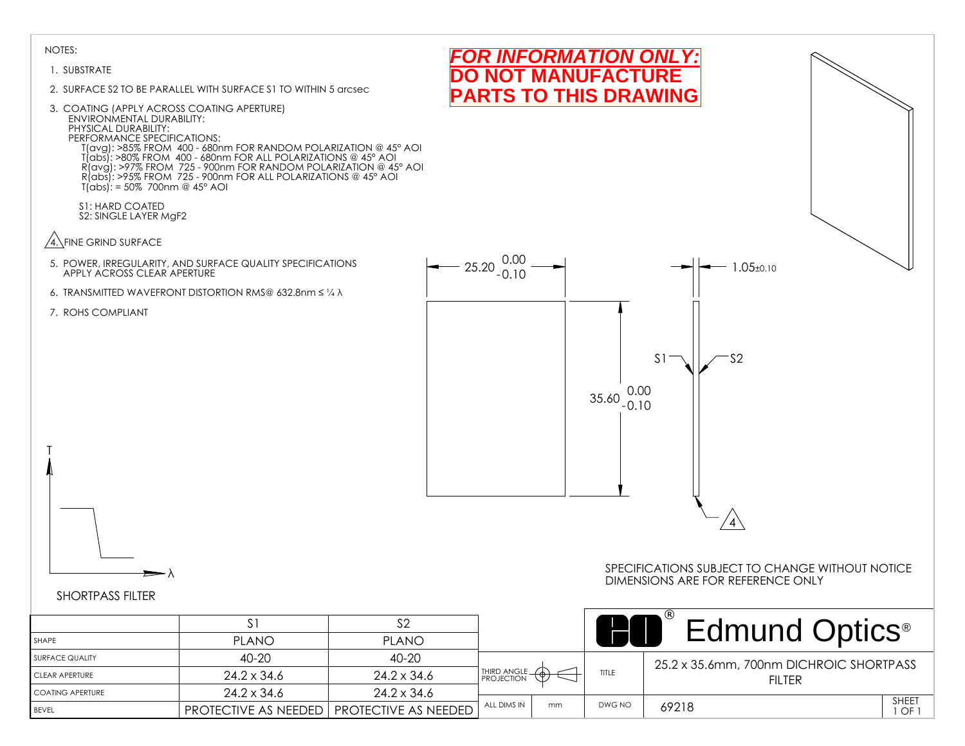